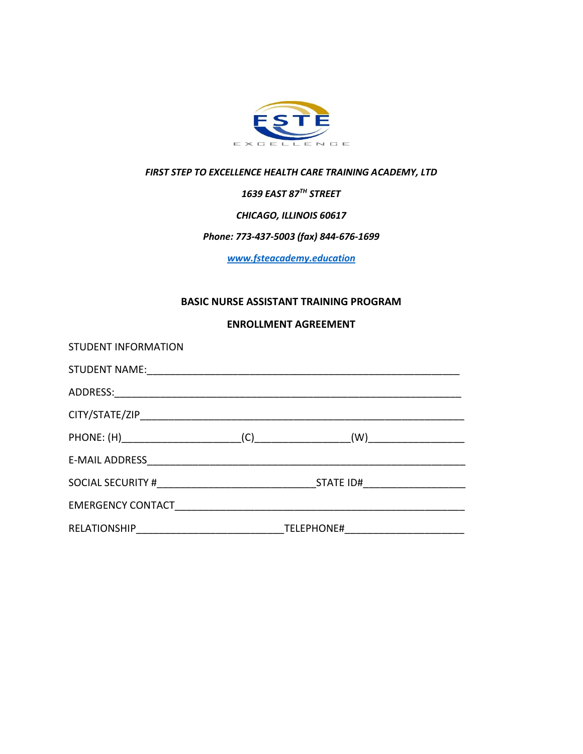

# *FIRST STEP TO EXCELLENCE HEALTH CARE TRAINING ACADEMY, LTD*

*1639 EAST 87TH STREET*

*CHICAGO, ILLINOIS 60617*

## *Phone: 773-437-5003 (fax) 844-676-1699*

*[www.fsteacademy.education](http://www.fsteacademy.education/)*

#### **BASIC NURSE ASSISTANT TRAINING PROGRAM**

#### **ENROLLMENT AGREEMENT**

| <b>STUDENT INFORMATION</b>                                                                                                                                                                                                     |  |  |
|--------------------------------------------------------------------------------------------------------------------------------------------------------------------------------------------------------------------------------|--|--|
|                                                                                                                                                                                                                                |  |  |
|                                                                                                                                                                                                                                |  |  |
|                                                                                                                                                                                                                                |  |  |
|                                                                                                                                                                                                                                |  |  |
|                                                                                                                                                                                                                                |  |  |
|                                                                                                                                                                                                                                |  |  |
| EMERGENCY CONTACT PRESERVE THE PRESERVE THE SERVE THAT AN ALGORITHM STATE OF THE SERVE THAT AND THE SERVE THAT AND THE SERVE THAT AN AMERICAN STATE OF THE SERVE THAT AN AMERICAN STATE OF THE SERVE THAT AN AMERICAN STATE OF |  |  |
|                                                                                                                                                                                                                                |  |  |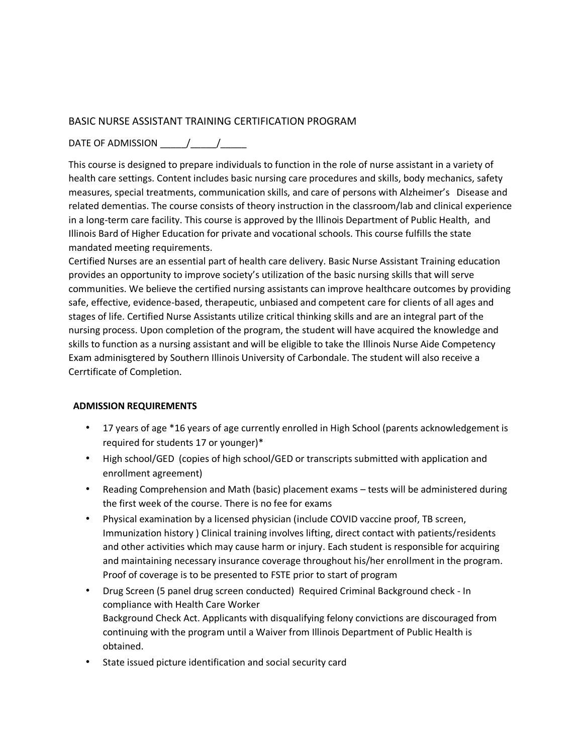### BASIC NURSE ASSISTANT TRAINING CERTIFICATION PROGRAM

## DATE OF ADMISSION \_\_\_\_\_/\_\_\_\_\_/\_\_\_\_\_

This course is designed to prepare individuals to function in the role of nurse assistant in a variety of health care settings. Content includes basic nursing care procedures and skills, body mechanics, safety measures, special treatments, communication skills, and care of persons with Alzheimer's Disease and related dementias. The course consists of theory instruction in the classroom/lab and clinical experience in a long-term care facility. This course is approved by the Illinois Department of Public Health, and Illinois Bard of Higher Education for private and vocational schools. This course fulfills the state mandated meeting requirements.

Certified Nurses are an essential part of health care delivery. Basic Nurse Assistant Training education provides an opportunity to improve society's utilization of the basic nursing skills that will serve communities. We believe the certified nursing assistants can improve healthcare outcomes by providing safe, effective, evidence-based, therapeutic, unbiased and competent care for clients of all ages and stages of life. Certified Nurse Assistants utilize critical thinking skills and are an integral part of the nursing process. Upon completion of the program, the student will have acquired the knowledge and skills to function as a nursing assistant and will be eligible to take the Illinois Nurse Aide Competency Exam adminisgtered by Southern Illinois University of Carbondale. The student will also receive a Cerrtificate of Completion.

### **ADMISSION REQUIREMENTS**

- 17 years of age \*16 years of age currently enrolled in High School (parents acknowledgement is required for students 17 or younger)\*
- High school/GED (copies of high school/GED or transcripts submitted with application and enrollment agreement)
- Reading Comprehension and Math (basic) placement exams tests will be administered during the first week of the course. There is no fee for exams
- Physical examination by a licensed physician (include COVID vaccine proof, TB screen, Immunization history ) Clinical training involves lifting, direct contact with patients/residents and other activities which may cause harm or injury. Each student is responsible for acquiring and maintaining necessary insurance coverage throughout his/her enrollment in the program. Proof of coverage is to be presented to FSTE prior to start of program
- Drug Screen (5 panel drug screen conducted) Required Criminal Background check In compliance with Health Care Worker Background Check Act. Applicants with disqualifying felony convictions are discouraged from continuing with the program until a Waiver from Illinois Department of Public Health is obtained.
- State issued picture identification and social security card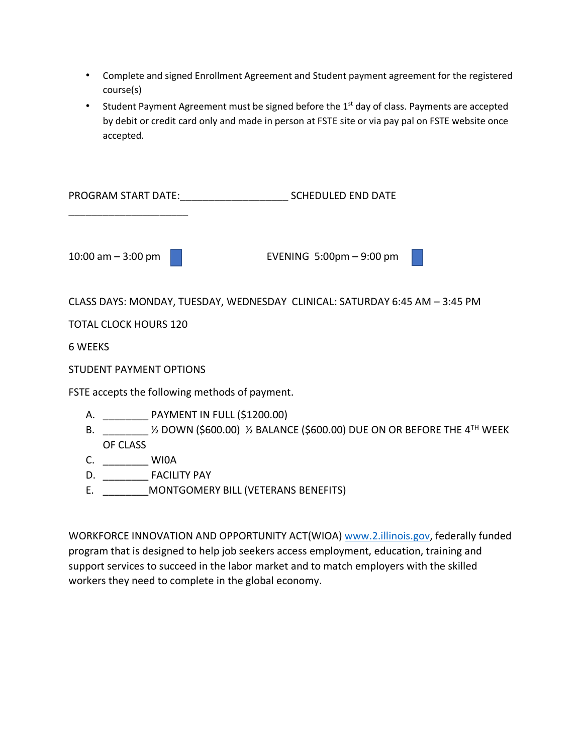- Complete and signed Enrollment Agreement and Student payment agreement for the registered course(s)
- Student Payment Agreement must be signed before the 1<sup>st</sup> day of class. Payments are accepted by debit or credit card only and made in person at FSTE site or via pay pal on FSTE website once accepted.

PROGRAM START DATE:\_\_\_\_\_\_\_\_\_\_\_\_\_\_\_\_\_\_\_ SCHEDULED END DATE \_\_\_\_\_\_\_\_\_\_\_\_\_\_\_\_\_\_\_\_\_ 10:00 am – 3:00 pm **and EVENING 5:00pm – 9:00 pm** CLASS DAYS: MONDAY, TUESDAY, WEDNESDAY CLINICAL: SATURDAY 6:45 AM – 3:45 PM TOTAL CLOCK HOURS 120 6 WEEKS STUDENT PAYMENT OPTIONS

FSTE accepts the following methods of payment.

- A. \_\_\_\_\_\_\_\_ PAYMENT IN FULL (\$1200.00)
- B.  $\frac{1}{2}$  DOWN (\$600.00)  $\frac{1}{2}$  BALANCE (\$600.00) DUE ON OR BEFORE THE 4<sup>TH</sup> WEEK OF CLASS
- C. WIOA
- D. \_\_\_\_\_\_\_\_ FACILITY PAY
- E. \_\_\_\_\_\_\_\_MONTGOMERY BILL (VETERANS BENEFITS)

WORKFORCE INNOVATION AND OPPORTUNITY ACT(WIOA) [www.2.illinois.gov,](http://www.2.illinois.gov/) federally funded program that is designed to help job seekers access employment, education, training and support services to succeed in the labor market and to match employers with the skilled workers they need to complete in the global economy.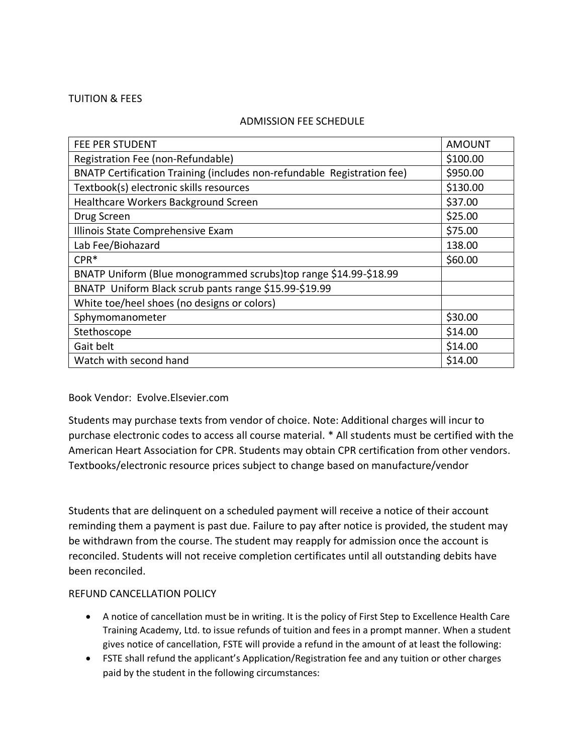#### TUITION & FEES

#### ADMISSION FEE SCHEDULE

| FEE PER STUDENT                                                         | <b>AMOUNT</b> |
|-------------------------------------------------------------------------|---------------|
| Registration Fee (non-Refundable)                                       | \$100.00      |
| BNATP Certification Training (includes non-refundable Registration fee) | \$950.00      |
| Textbook(s) electronic skills resources                                 | \$130.00      |
| Healthcare Workers Background Screen                                    | \$37.00       |
| Drug Screen                                                             | \$25.00       |
| Illinois State Comprehensive Exam                                       | \$75.00       |
| Lab Fee/Biohazard                                                       | 138.00        |
| $CPR*$                                                                  | \$60.00       |
| BNATP Uniform (Blue monogrammed scrubs)top range \$14.99-\$18.99        |               |
| BNATP Uniform Black scrub pants range \$15.99-\$19.99                   |               |
| White toe/heel shoes (no designs or colors)                             |               |
| Sphymomanometer                                                         | \$30.00       |
| Stethoscope                                                             | \$14.00       |
| Gait belt                                                               | \$14.00       |
| Watch with second hand                                                  | \$14.00       |
|                                                                         |               |

### Book Vendor: Evolve.Elsevier.com

Students may purchase texts from vendor of choice. Note: Additional charges will incur to purchase electronic codes to access all course material. \* All students must be certified with the American Heart Association for CPR. Students may obtain CPR certification from other vendors. Textbooks/electronic resource prices subject to change based on manufacture/vendor

Students that are delinquent on a scheduled payment will receive a notice of their account reminding them a payment is past due. Failure to pay after notice is provided, the student may be withdrawn from the course. The student may reapply for admission once the account is reconciled. Students will not receive completion certificates until all outstanding debits have been reconciled.

### REFUND CANCELLATION POLICY

- A notice of cancellation must be in writing. It is the policy of First Step to Excellence Health Care Training Academy, Ltd. to issue refunds of tuition and fees in a prompt manner. When a student gives notice of cancellation, FSTE will provide a refund in the amount of at least the following:
- FSTE shall refund the applicant's Application/Registration fee and any tuition or other charges paid by the student in the following circumstances: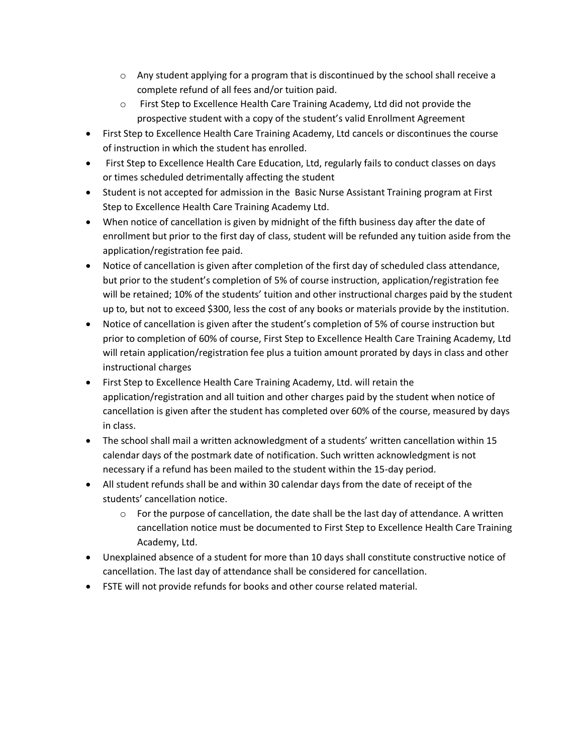- $\circ$  Any student applying for a program that is discontinued by the school shall receive a complete refund of all fees and/or tuition paid.
- o First Step to Excellence Health Care Training Academy, Ltd did not provide the prospective student with a copy of the student's valid Enrollment Agreement
- First Step to Excellence Health Care Training Academy, Ltd cancels or discontinues the course of instruction in which the student has enrolled.
- First Step to Excellence Health Care Education, Ltd, regularly fails to conduct classes on days or times scheduled detrimentally affecting the student
- Student is not accepted for admission in the Basic Nurse Assistant Training program at First Step to Excellence Health Care Training Academy Ltd.
- When notice of cancellation is given by midnight of the fifth business day after the date of enrollment but prior to the first day of class, student will be refunded any tuition aside from the application/registration fee paid.
- Notice of cancellation is given after completion of the first day of scheduled class attendance, but prior to the student's completion of 5% of course instruction, application/registration fee will be retained; 10% of the students' tuition and other instructional charges paid by the student up to, but not to exceed \$300, less the cost of any books or materials provide by the institution.
- Notice of cancellation is given after the student's completion of 5% of course instruction but prior to completion of 60% of course, First Step to Excellence Health Care Training Academy, Ltd will retain application/registration fee plus a tuition amount prorated by days in class and other instructional charges
- First Step to Excellence Health Care Training Academy, Ltd. will retain the application/registration and all tuition and other charges paid by the student when notice of cancellation is given after the student has completed over 60% of the course, measured by days in class.
- The school shall mail a written acknowledgment of a students' written cancellation within 15 calendar days of the postmark date of notification. Such written acknowledgment is not necessary if a refund has been mailed to the student within the 15-day period.
- All student refunds shall be and within 30 calendar days from the date of receipt of the students' cancellation notice.
	- $\circ$  For the purpose of cancellation, the date shall be the last day of attendance. A written cancellation notice must be documented to First Step to Excellence Health Care Training Academy, Ltd.
- Unexplained absence of a student for more than 10 days shall constitute constructive notice of cancellation. The last day of attendance shall be considered for cancellation.
- FSTE will not provide refunds for books and other course related material.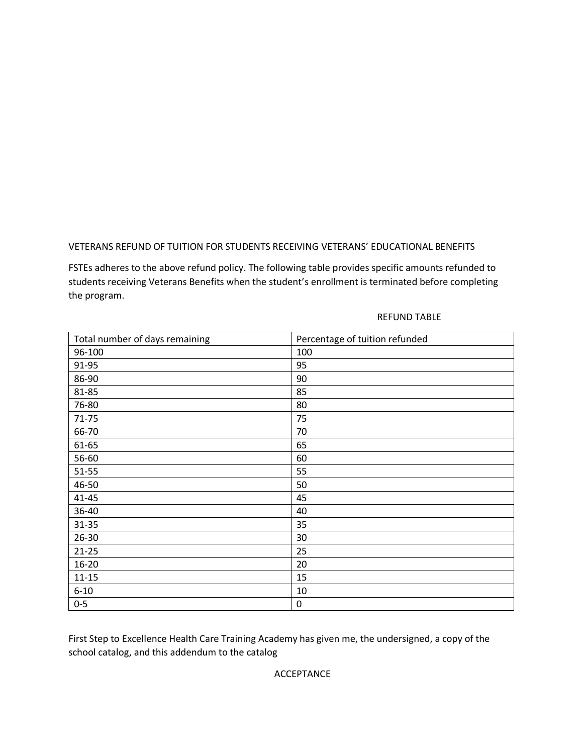## VETERANS REFUND OF TUITION FOR STUDENTS RECEIVING VETERANS' EDUCATIONAL BENEFITS

FSTEs adheres to the above refund policy. The following table provides specific amounts refunded to students receiving Veterans Benefits when the student's enrollment is terminated before completing the program.

#### REFUND TABLE

| Total number of days remaining | Percentage of tuition refunded |
|--------------------------------|--------------------------------|
| 96-100                         | 100                            |
| 91-95                          | 95                             |
| 86-90                          | 90                             |
| 81-85                          | 85                             |
| 76-80                          | 80                             |
| $71 - 75$                      | 75                             |
| 66-70                          | 70                             |
| 61-65                          | 65                             |
| 56-60                          | 60                             |
| $51 - 55$                      | 55                             |
| 46-50                          | 50                             |
| $41 - 45$                      | 45                             |
| 36-40                          | 40                             |
| $31 - 35$                      | 35                             |
| $26 - 30$                      | 30                             |
| $21 - 25$                      | 25                             |
| $16 - 20$                      | 20                             |
| $11 - 15$                      | 15                             |
| $6 - 10$                       | 10                             |
| $0-5$                          | 0                              |

First Step to Excellence Health Care Training Academy has given me, the undersigned, a copy of the school catalog, and this addendum to the catalog

ACCEPTANCE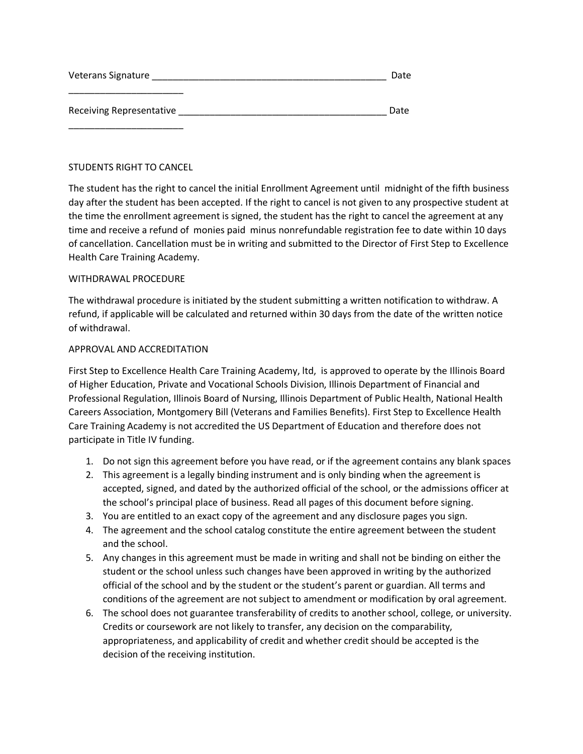| Veterans Signature       | Date |
|--------------------------|------|
| Receiving Representative | Date |
|                          |      |

#### STUDENTS RIGHT TO CANCEL

The student has the right to cancel the initial Enrollment Agreement until midnight of the fifth business day after the student has been accepted. If the right to cancel is not given to any prospective student at the time the enrollment agreement is signed, the student has the right to cancel the agreement at any time and receive a refund of monies paid minus nonrefundable registration fee to date within 10 days of cancellation. Cancellation must be in writing and submitted to the Director of First Step to Excellence Health Care Training Academy.

#### WITHDRAWAL PROCEDURE

The withdrawal procedure is initiated by the student submitting a written notification to withdraw. A refund, if applicable will be calculated and returned within 30 days from the date of the written notice of withdrawal.

#### APPROVAL AND ACCREDITATION

First Step to Excellence Health Care Training Academy, ltd, is approved to operate by the Illinois Board of Higher Education, Private and Vocational Schools Division, Illinois Department of Financial and Professional Regulation, Illinois Board of Nursing, Illinois Department of Public Health, National Health Careers Association, Montgomery Bill (Veterans and Families Benefits). First Step to Excellence Health Care Training Academy is not accredited the US Department of Education and therefore does not participate in Title IV funding.

- 1. Do not sign this agreement before you have read, or if the agreement contains any blank spaces
- 2. This agreement is a legally binding instrument and is only binding when the agreement is accepted, signed, and dated by the authorized official of the school, or the admissions officer at the school's principal place of business. Read all pages of this document before signing.
- 3. You are entitled to an exact copy of the agreement and any disclosure pages you sign.
- 4. The agreement and the school catalog constitute the entire agreement between the student and the school.
- 5. Any changes in this agreement must be made in writing and shall not be binding on either the student or the school unless such changes have been approved in writing by the authorized official of the school and by the student or the student's parent or guardian. All terms and conditions of the agreement are not subject to amendment or modification by oral agreement.
- 6. The school does not guarantee transferability of credits to another school, college, or university. Credits or coursework are not likely to transfer, any decision on the comparability, appropriateness, and applicability of credit and whether credit should be accepted is the decision of the receiving institution.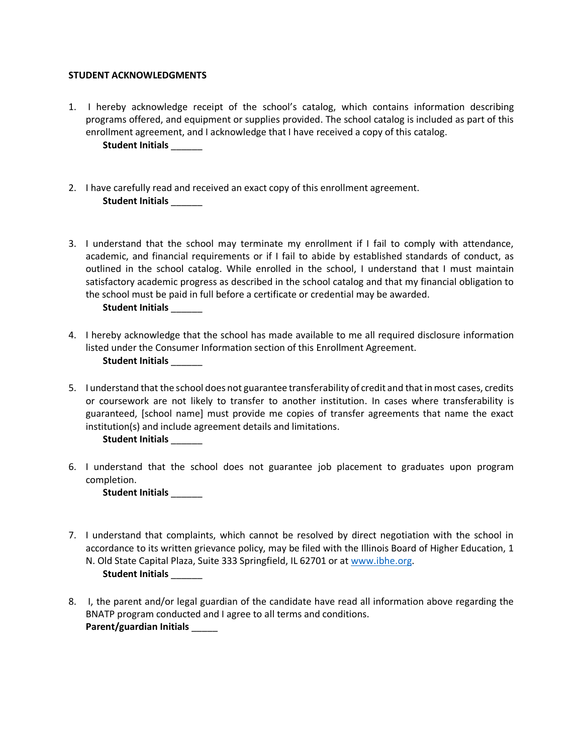#### **STUDENT ACKNOWLEDGMENTS**

- 1. I hereby acknowledge receipt of the school's catalog, which contains information describing programs offered, and equipment or supplies provided. The school catalog is included as part of this enrollment agreement, and I acknowledge that I have received a copy of this catalog. **Student Initials** \_\_\_\_\_\_
- 2. I have carefully read and received an exact copy of this enrollment agreement. **Student Initials** \_\_\_\_\_\_
- 3. I understand that the school may terminate my enrollment if I fail to comply with attendance, academic, and financial requirements or if I fail to abide by established standards of conduct, as outlined in the school catalog. While enrolled in the school, I understand that I must maintain satisfactory academic progress as described in the school catalog and that my financial obligation to the school must be paid in full before a certificate or credential may be awarded. **Student Initials** \_\_\_\_\_\_
- 4. I hereby acknowledge that the school has made available to me all required disclosure information listed under the Consumer Information section of this Enrollment Agreement. **Student Initials** \_\_\_\_\_\_
- 5. I understand that the school does not guarantee transferability of credit and that in most cases, credits or coursework are not likely to transfer to another institution. In cases where transferability is guaranteed, [school name] must provide me copies of transfer agreements that name the exact institution(s) and include agreement details and limitations.

**Student Initials** \_\_\_\_\_\_

6. I understand that the school does not guarantee job placement to graduates upon program completion.

**Student Initials** \_\_\_\_\_\_

- 7. I understand that complaints, which cannot be resolved by direct negotiation with the school in accordance to its written grievance policy, may be filed with the Illinois Board of Higher Education, 1 N. Old State Capital Plaza, Suite 333 Springfield, IL 62701 or at [www.ibhe.org.](http://www.ibhe.org/) **Student Initials** \_\_\_\_\_\_
- 8. I, the parent and/or legal guardian of the candidate have read all information above regarding the BNATP program conducted and I agree to all terms and conditions. **Parent/guardian Initials** \_\_\_\_\_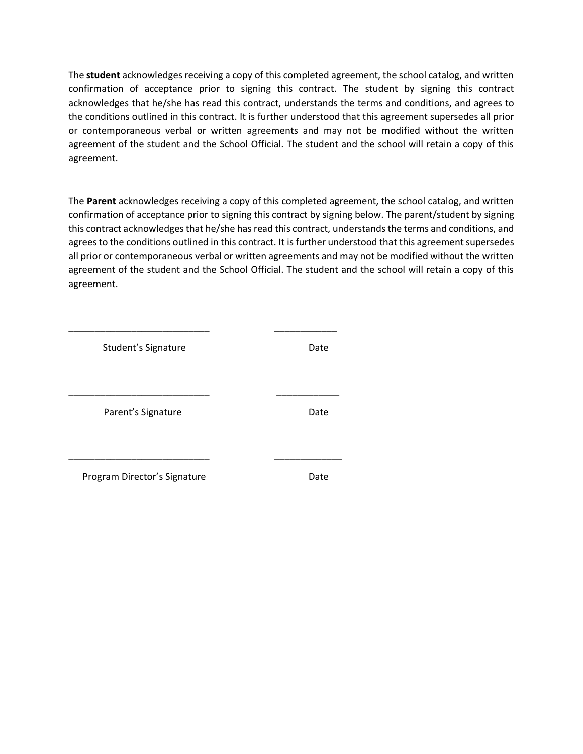The **student** acknowledges receiving a copy of this completed agreement, the school catalog, and written confirmation of acceptance prior to signing this contract. The student by signing this contract acknowledges that he/she has read this contract, understands the terms and conditions, and agrees to the conditions outlined in this contract. It is further understood that this agreement supersedes all prior or contemporaneous verbal or written agreements and may not be modified without the written agreement of the student and the School Official. The student and the school will retain a copy of this agreement.

The **Parent** acknowledges receiving a copy of this completed agreement, the school catalog, and written confirmation of acceptance prior to signing this contract by signing below. The parent/student by signing this contract acknowledges that he/she has read this contract, understands the terms and conditions, and agrees to the conditions outlined in this contract. It is further understood that this agreement supersedes all prior or contemporaneous verbal or written agreements and may not be modified without the written agreement of the student and the School Official. The student and the school will retain a copy of this agreement.

| Student's Signature          | Date |
|------------------------------|------|
|                              |      |
|                              |      |
| Parent's Signature           | Date |
|                              |      |
|                              |      |
| Program Director's Signature | Date |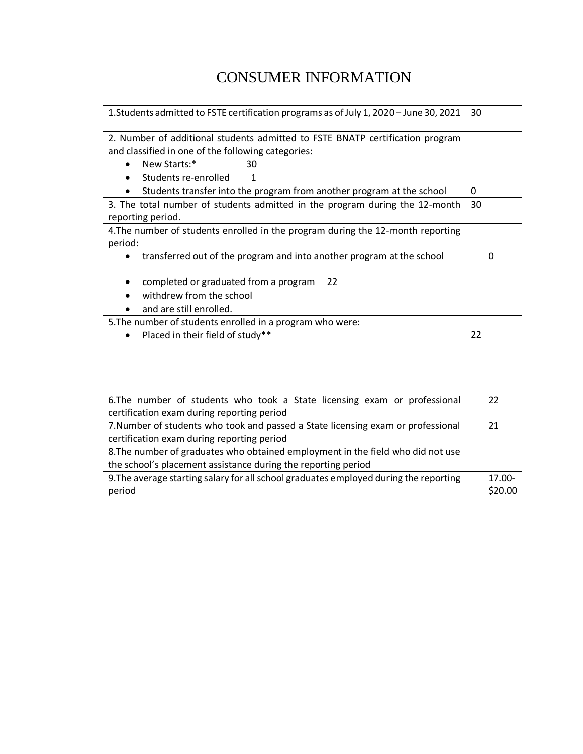# CONSUMER INFORMATION

| 1. Students admitted to FSTE certification programs as of July 1, 2020 - June 30, 2021                                                                                                              |   |
|-----------------------------------------------------------------------------------------------------------------------------------------------------------------------------------------------------|---|
| 2. Number of additional students admitted to FSTE BNATP certification program<br>and classified in one of the following categories:<br>New Starts:*<br>30<br>Students re-enrolled<br>1<br>$\bullet$ |   |
| Students transfer into the program from another program at the school<br>٠                                                                                                                          | 0 |
| 3. The total number of students admitted in the program during the 12-month<br>reporting period.                                                                                                    |   |
| 4. The number of students enrolled in the program during the 12-month reporting<br>period:                                                                                                          |   |
| transferred out of the program and into another program at the school                                                                                                                               | 0 |
| completed or graduated from a program<br>22                                                                                                                                                         |   |
| withdrew from the school<br>and are still enrolled.                                                                                                                                                 |   |
| 5. The number of students enrolled in a program who were:                                                                                                                                           |   |
| Placed in their field of study**                                                                                                                                                                    |   |
|                                                                                                                                                                                                     |   |
| 6. The number of students who took a State licensing exam or professional<br>certification exam during reporting period                                                                             |   |
| 7. Number of students who took and passed a State licensing exam or professional<br>certification exam during reporting period                                                                      |   |
| 8. The number of graduates who obtained employment in the field who did not use<br>the school's placement assistance during the reporting period                                                    |   |
| 9. The average starting salary for all school graduates employed during the reporting                                                                                                               |   |
| period                                                                                                                                                                                              |   |